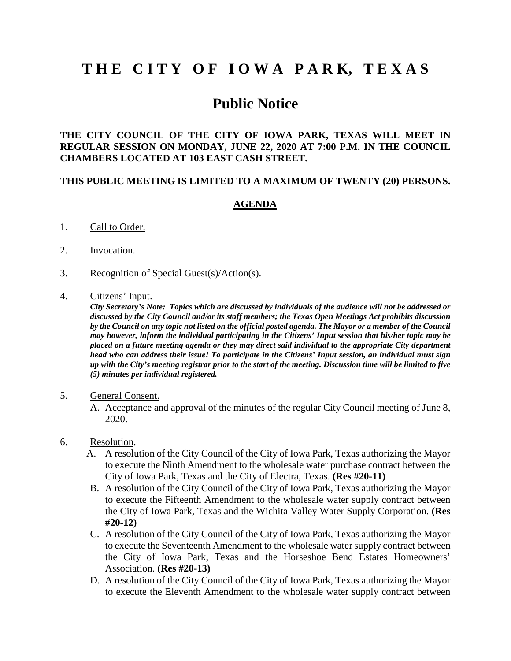## **T H E C I T Y O F I O W A P A R K, T E X A S**

## **Public Notice**

**THE CITY COUNCIL OF THE CITY OF IOWA PARK, TEXAS WILL MEET IN REGULAR SESSION ON MONDAY, JUNE 22, 2020 AT 7:00 P.M. IN THE COUNCIL CHAMBERS LOCATED AT 103 EAST CASH STREET.** 

## **THIS PUBLIC MEETING IS LIMITED TO A MAXIMUM OF TWENTY (20) PERSONS.**

## **AGENDA**

- 1. Call to Order.
- 2. Invocation.
- 3. Recognition of Special Guest(s)/Action(s).
- 4. Citizens' Input.

*City Secretary's Note: Topics which are discussed by individuals of the audience will not be addressed or discussed by the City Council and/or its staff members; the Texas Open Meetings Act prohibits discussion by the Council on any topic not listed on the official posted agenda. The Mayor or a member of the Council may however, inform the individual participating in the Citizens' Input session that his/her topic may be placed on a future meeting agenda or they may direct said individual to the appropriate City department head who can address their issue! To participate in the Citizens' Input session, an individual must sign up with the City's meeting registrar prior to the start of the meeting. Discussion time will be limited to five (5) minutes per individual registered.*

- 5. General Consent.
	- A. Acceptance and approval of the minutes of the regular City Council meeting of June 8, 2020.
- 6. Resolution.
	- A. A resolution of the City Council of the City of Iowa Park, Texas authorizing the Mayor to execute the Ninth Amendment to the wholesale water purchase contract between the City of Iowa Park, Texas and the City of Electra, Texas. **(Res #20-11)**
	- B. A resolution of the City Council of the City of Iowa Park, Texas authorizing the Mayor to execute the Fifteenth Amendment to the wholesale water supply contract between the City of Iowa Park, Texas and the Wichita Valley Water Supply Corporation. **(Res #20-12)**
	- C. A resolution of the City Council of the City of Iowa Park, Texas authorizing the Mayor to execute the Seventeenth Amendment to the wholesale water supply contract between the City of Iowa Park, Texas and the Horseshoe Bend Estates Homeowners' Association. **(Res #20-13)**
	- D. A resolution of the City Council of the City of Iowa Park, Texas authorizing the Mayor to execute the Eleventh Amendment to the wholesale water supply contract between